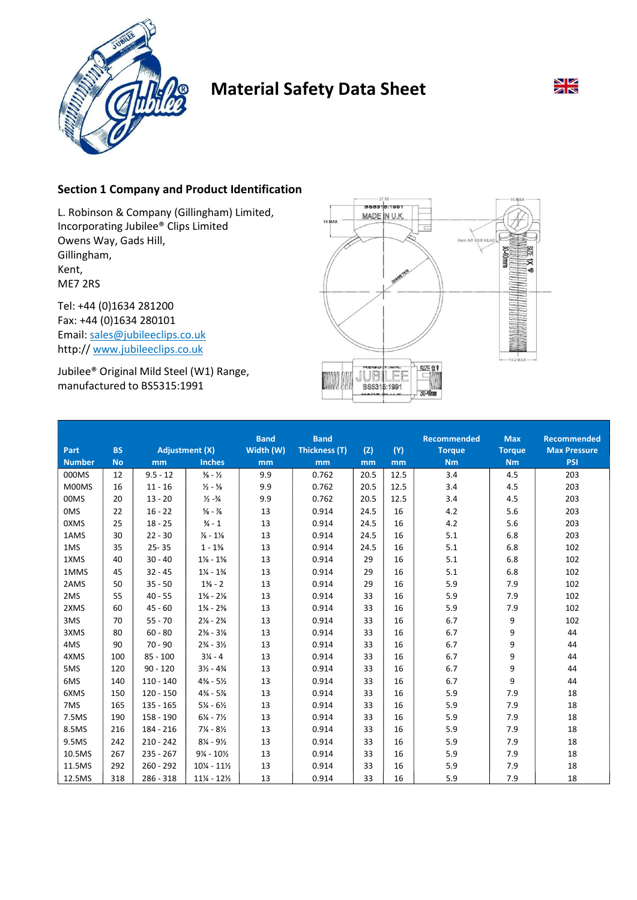

# Material Safety Data Sheet



## Section 1 Company and Product Identification

L. Robinson & Company (Gillingham) Limited, Incorporating Jubilee® Clips Limited Owens Way, Gads Hill, Gillingham, Kent, ME7 2RS

Tel: +44 (0)1634 281200 Fax: +44 (0)1634 280101 Email: sales@jubileeclips.co.uk http:// www.jubileeclips.co.uk

Jubilee® Original Mild Steel (W1) Range, manufactured to BS5315:1991



|               |           |                       |                                  | <b>Band</b> | <b>Band</b>   |      |      | <b>Recommended</b> | <b>Max</b>    | <b>Recommended</b>  |
|---------------|-----------|-----------------------|----------------------------------|-------------|---------------|------|------|--------------------|---------------|---------------------|
| Part          | <b>BS</b> | <b>Adjustment (X)</b> |                                  | Width (W)   | Thickness (T) | (Z)  | (Y)  | <b>Torque</b>      | <b>Torque</b> | <b>Max Pressure</b> |
| <b>Number</b> | <b>No</b> | m <sub>m</sub>        | <b>Inches</b>                    | mm          | mm            | mm   | mm   | Nm                 | Nm            | <b>PSI</b>          |
| 000MS         | 12        | $9.5 - 12$            | $\frac{3}{8} - \frac{1}{2}$      | 9.9         | 0.762         | 20.5 | 12.5 | 3.4                | 4.5           | 203                 |
| M00MS         | 16        | $11 - 16$             | $\frac{1}{2} - \frac{5}{8}$      | 9.9         | 0.762         | 20.5 | 12.5 | 3.4                | 4.5           | 203                 |
| 00MS          | 20        | $13 - 20$             | $\frac{1}{2} - \frac{3}{4}$      | 9.9         | 0.762         | 20.5 | 12.5 | 3.4                | 4.5           | 203                 |
| 0MS           | 22        | $16 - 22$             | $\frac{5}{8}$ - $\frac{7}{8}$    | 13          | 0.914         | 24.5 | 16   | 4.2                | 5.6           | 203                 |
| 0XMS          | 25        | $18 - 25$             | $\frac{3}{4} - 1$                | 13          | 0.914         | 24.5 | 16   | 4.2                | 5.6           | 203                 |
| 1AMS          | 30        | $22 - 30$             | $\frac{7}{8} - 1\frac{1}{8}$     | 13          | 0.914         | 24.5 | 16   | 5.1                | 6.8           | 203                 |
| 1MS           | 35        | $25 - 35$             | $1 - 1\%$                        | 13          | 0.914         | 24.5 | 16   | 5.1                | 6.8           | 102                 |
| 1XMS          | 40        | $30 - 40$             | $1\frac{1}{8} - 1\frac{5}{8}$    | 13          | 0.914         | 29   | 16   | 5.1                | 6.8           | 102                 |
| 1MMS          | 45        | $32 - 45$             | $1\frac{1}{4}$ - $1\frac{3}{4}$  | 13          | 0.914         | 29   | 16   | 5.1                | 6.8           | 102                 |
| 2AMS          | 50        | $35 - 50$             | $1\frac{3}{8} - 2$               | 13          | 0.914         | 29   | 16   | 5.9                | 7.9           | 102                 |
| 2MS           | 55        | $40 - 55$             | $1\% - 2\%$                      | 13          | 0.914         | 33   | 16   | 5.9                | 7.9           | 102                 |
| 2XMS          | 60        | $45 - 60$             | $1\frac{3}{4}$ - $2\frac{3}{8}$  | 13          | 0.914         | 33   | 16   | 5.9                | 7.9           | 102                 |
| 3MS           | 70        | $55 - 70$             | $2\frac{1}{8}$ - $2\frac{3}{4}$  | 13          | 0.914         | 33   | 16   | 6.7                | 9             | 102                 |
| 3XMS          | 80        | $60 - 80$             | $2\frac{3}{8} - 3\frac{1}{8}$    | 13          | 0.914         | 33   | 16   | 6.7                | 9             | 44                  |
| 4MS           | 90        | $70 - 90$             | $2\frac{3}{4} - 3\frac{1}{2}$    | 13          | 0.914         | 33   | 16   | 6.7                | 9             | 44                  |
| 4XMS          | 100       | $85 - 100$            | $3\frac{1}{4} - 4$               | 13          | 0.914         | 33   | 16   | 6.7                | 9             | 44                  |
| 5MS           | 120       | $90 - 120$            | $3\frac{1}{2} - 4\frac{3}{4}$    | 13          | 0.914         | 33   | 16   | 6.7                | 9             | 44                  |
| 6MS           | 140       | $110 - 140$           | $4\frac{3}{8}$ - 5 $\frac{1}{2}$ | 13          | 0.914         | 33   | 16   | 6.7                | 9             | 44                  |
| 6XMS          | 150       | $120 - 150$           | $4\frac{3}{4}$ - 5%              | 13          | 0.914         | 33   | 16   | 5.9                | 7.9           | 18                  |
| 7MS           | 165       | $135 - 165$           | $5\% - 6\%$                      | 13          | 0.914         | 33   | 16   | 5.9                | 7.9           | 18                  |
| 7.5MS         | 190       | 158 - 190             | $6\frac{1}{4}$ - 7 $\frac{1}{2}$ | 13          | 0.914         | 33   | 16   | 5.9                | 7.9           | 18                  |
| 8.5MS         | 216       | 184 - 216             | $7\frac{1}{4} - 8\frac{1}{2}$    | 13          | 0.914         | 33   | 16   | 5.9                | 7.9           | 18                  |
| 9.5MS         | 242       | $210 - 242$           | $8\% - 9\%$                      | 13          | 0.914         | 33   | 16   | 5.9                | 7.9           | 18                  |
| 10.5MS        | 267       | $235 - 267$           | $9\% - 10\%$                     | 13          | 0.914         | 33   | 16   | 5.9                | 7.9           | 18                  |
| 11.5MS        | 292       | $260 - 292$           | $10\% - 11\%$                    | 13          | 0.914         | 33   | 16   | 5.9                | 7.9           | 18                  |
| 12.5MS        | 318       | $286 - 318$           | $11\frac{1}{4} - 12\frac{1}{2}$  | 13          | 0.914         | 33   | 16   | 5.9                | 7.9           | 18                  |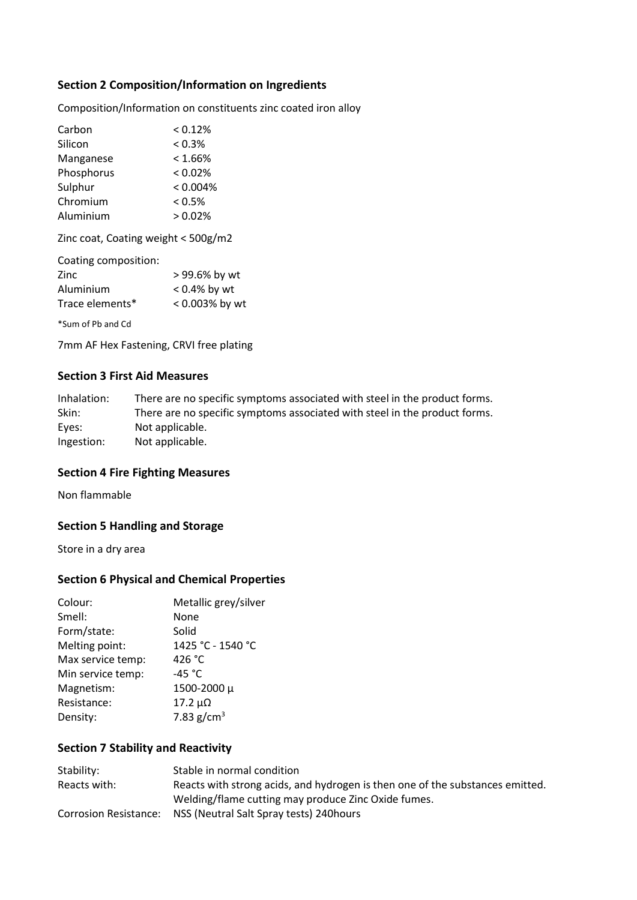## Section 2 Composition/Information on Ingredients

Composition/Information on constituents zinc coated iron alloy

| Carbon     | < 0.12%    |
|------------|------------|
| Silicon    | < 0.3%     |
| Manganese  | $< 1.66\%$ |
| Phosphorus | < 0.02%    |
| Sulphur    | < 0.004%   |
| Chromium   | $< 0.5\%$  |
| Aluminium  | > 0.02%    |
|            |            |

Zinc coat, Coating weight < 500g/m2

| Coating composition: |                 |
|----------------------|-----------------|
| Zinc                 | > 99.6% by wt   |
| Aluminium            | $< 0.4\%$ by wt |
| Trace elements*      | < 0.003% by wt  |
|                      |                 |

\*Sum of Pb and Cd

7mm AF Hex Fastening, CRVI free plating

## Section 3 First Aid Measures

| Inhalation: | There are no specific symptoms associated with steel in the product forms. |
|-------------|----------------------------------------------------------------------------|
| Skin:       | There are no specific symptoms associated with steel in the product forms. |
| Eyes:       | Not applicable.                                                            |
| Ingestion:  | Not applicable.                                                            |

#### Section 4 Fire Fighting Measures

Non flammable

## Section 5 Handling and Storage

Store in a dry area

## Section 6 Physical and Chemical Properties

| Colour:           | Metallic grey/silver |
|-------------------|----------------------|
| Smell:            | None                 |
| Form/state:       | Solid                |
| Melting point:    | 1425 °C - 1540 °C    |
| Max service temp: | 426 °C               |
| Min service temp: | -45 $^{\circ}$ C     |
| Magnetism:        | 1500-2000 μ          |
| Resistance:       | $17.2 \mu\Omega$     |
| Density:          | 7.83 $g/cm^{3}$      |

## Section 7 Stability and Reactivity

| Stability:                   | Stable in normal condition                                                    |
|------------------------------|-------------------------------------------------------------------------------|
| Reacts with:                 | Reacts with strong acids, and hydrogen is then one of the substances emitted. |
|                              | Welding/flame cutting may produce Zinc Oxide fumes.                           |
| <b>Corrosion Resistance:</b> | NSS (Neutral Salt Spray tests) 240 hours                                      |